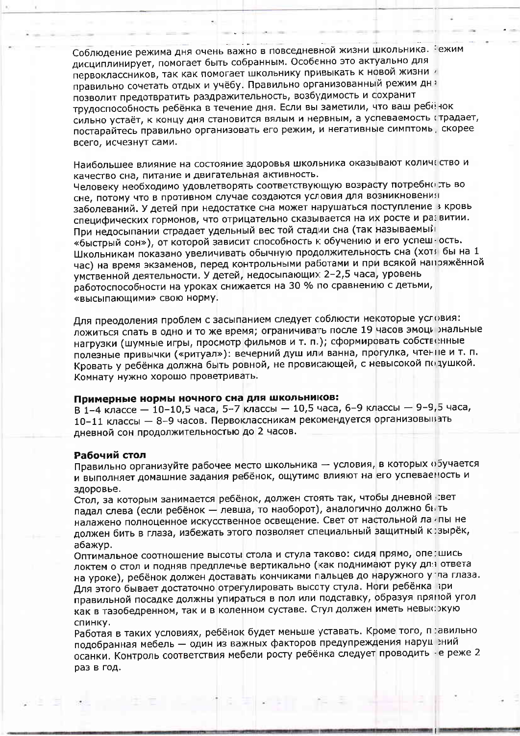Соблюдение режима дня очень важно в повседневной жизни школьника. Зежим дисциплинирует, помогает быть собранным. Особенно это актуально для первоклассников, так как помогает школьнику привыкать к новой жизни правильно сочетать отдых и учёбу. Правильно организованный режим дна позволит предотвратить раздражительность, возбудимость и сохранит трудоспособность ребёнка в течение дня. Если вы заметили, что ваш ребёнок сильно устаёт, к концу дня становится вялым и нервным, а успеваемость гтрадает, постарайтесь правильно организовать его режим, и негативные симптомь, скорее всего, исчезнут сами.

Наибольшее влияние на состояние здоровья школьника оказывают количтство и качество сна, питание и двигательная активность.

Человеку необходимо удовлетворять соответствующую возрасту потребно ть во сне, потому что в противном случае создаются условия для возникновения заболеваний. У детей при недостатке сна может нарушаться поступление в кровь специфических гормонов, что отрицательно сказывается на их росте и развитии. При недосыпании страдает удельный вес той стадии сна (так называемый «быстрый сон»), от которой зависит способность к обучению и его успеш ость. Школьникам показано увеличивать обычную продолжительность сна (хотя бы на 1 час) на время экзаменов, перед контрольными работами и при всякой напряжённой умственной деятельности. У детей, недосыпающих 2-2,5 часа, уровень работоспособности на уроках снижается на 30 % по сравнению с детьми, «высыпающими» свою норму.

Для преодоления проблем с засыпанием следует соблюсти некоторые условия: ложиться спать в одно и то же время; ограничивать после 19 часов эмоци энальные нагрузки (шумные игры, просмотр фильмов и т. п.); сформировать собственные полезные привычки («ритуал»): вечерний душ или ванна, прогулка, чтенне и т. п. Кровать у ребёнка должна быть ровной, не провисающей, с невысокой подушкой. Комнату нужно хорошо проветривать.

# Примерные нормы ночного сна для школьников:

В 1-4 классе — 10-10,5 часа, 5-7 классы — 10,5 часа, 6-9 классы — 9-9,5 часа, 10-11 классы - 8-9 часов. Первоклассникам рекомендуется организовынать дневной сон продолжительностью до 2 часов.

### Рабочий стол

Правильно организуйте рабочее место школьника - условия, в которых обучается и выполняет домашние задания ребёнок, ощутимо влияют на его успеваеность и здоровье.

Стол, за которым занимается ребёнок, должен стоять так, чтобы дневной звет падал слева (если ребёнок - левша, то наоборот), аналогично должно быть налажено полноценное искусственное освещение. Свет от настольной ла пы не должен бить в глаза, избежать этого позволяет специальный защитный к зырёк, абажур.

Оптимальное соотношение высоты стола и стула таково: сидя прямо, опе:шись локтем о стол и подняв предплечье вертикально (как поднимают руку для ответа на уроке), ребёнок должен доставать кончиками пальцев до наружного у па глаза. Для этого бывает достаточно отрегулировать высоту стула. Ноги ребёнка при правильной посадке должны упираться в пол или подставку, образуя пряной угол как в тазобедренном, так и в коленном суставе. Стул должен иметь невыс жую спинку.

Работая в таких условиях, ребёнок будет меньше уставать. Кроме того, п :авильно подобранная мебель - один из важных факторов предупреждения наруц зний осанки. Контроль соответствия мебели росту ребёнка следует проводить - е реже 2 раз в год.